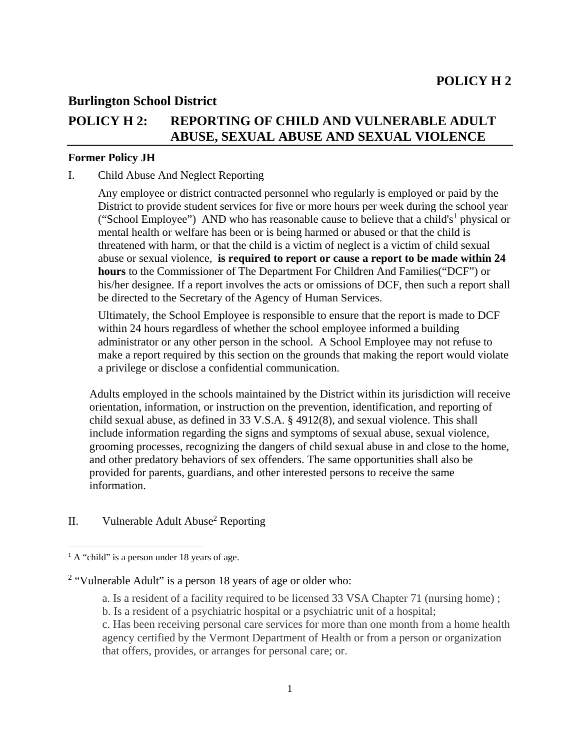## **Burlington School District**

# **POLICY H 2: REPORTING OF CHILD AND VULNERABLE ADULT ABUSE, SEXUAL ABUSE AND SEXUAL VIOLENCE**

### **Former Policy JH**

#### I. Child Abuse And Neglect Reporting

Any employee or district contracted personnel who regularly is employed or paid by the District to provide student services for five or more hours per week during the school year ("School Employee") AND who has reasonable cause to believe that a child's<sup>1</sup> physical or mental health or welfare has been or is being harmed or abused or that the child is threatened with harm, or that the child is a victim of neglect is a victim of child sexual abuse or sexual violence, **is required to report or cause a report to be made within 24 hours** to the Commissioner of The Department For Children And Families("DCF") or his/her designee. If a report involves the acts or omissions of DCF, then such a report shall be directed to the Secretary of the Agency of Human Services.

Ultimately, the School Employee is responsible to ensure that the report is made to DCF within 24 hours regardless of whether the school employee informed a building administrator or any other person in the school. A School Employee may not refuse to make a report required by this section on the grounds that making the report would violate a privilege or disclose a confidential communication.

Adults employed in the schools maintained by the District within its jurisdiction will receive orientation, information, or instruction on the prevention, identification, and reporting of child sexual abuse, as defined in 33 V.S.A. § 4912(8), and sexual violence. This shall include information regarding the signs and symptoms of sexual abuse, sexual violence, grooming processes, recognizing the dangers of child sexual abuse in and close to the home, and other predatory behaviors of sex offenders. The same opportunities shall also be provided for parents, guardians, and other interested persons to receive the same information.

## II. Vulnerable Adult Abuse<sup>2</sup> Reporting

l

a. Is a resident of a facility required to be licensed 33 VSA Chapter 71 (nursing home) ;

<sup>&</sup>lt;sup>1</sup> A "child" is a person under 18 years of age.

<sup>&</sup>lt;sup>2</sup> "Vulnerable Adult" is a person 18 years of age or older who:

b. Is a resident of a psychiatric hospital or a psychiatric unit of a hospital;

c. Has been receiving personal care services for more than one month from a home health agency certified by the Vermont Department of Health or from a person or organization that offers, provides, or arranges for personal care; or.